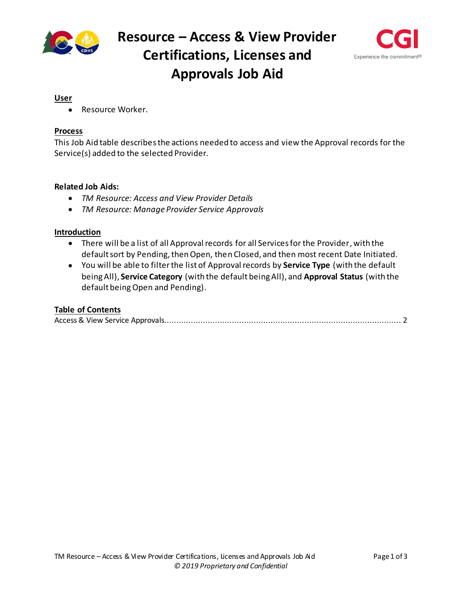



#### **User**

Resource Worker.

## **Process**

This Job Aid table describesthe actions needed to access and view the Approval records for the Service(s) added to the selected Provider.

### **Related Job Aids:**

- *TM Resource: Access and View Provider Details*
- *TM Resource: Manage Provider Service Approvals*

### **Introduction**

- There will be a list of all Approval records for all Services for the Provider, with the default sort by Pending, then Open, then Closed, and then most recent Date Initiated.
- You will be able to filterthe list of Approval records by **Service Type** (with the default beingAll), **Service Category** (with the default beingAll), and **Approval Status** (with the default beingOpen and Pending).

# **Table of Contents**

|--|--|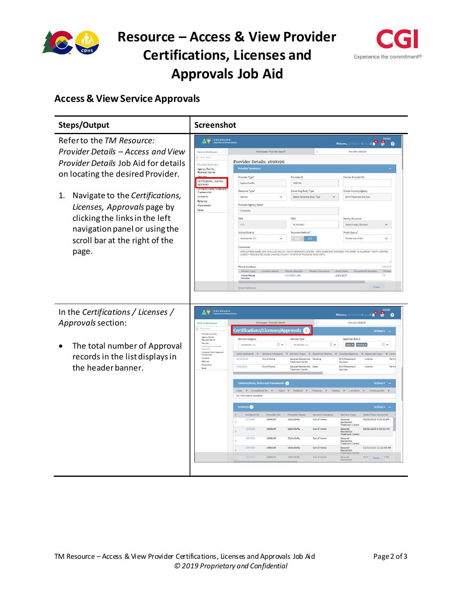

# **Resource – Access & View Provider Certifications, Licenses and Approvals Job Aid**



# <span id="page-1-0"></span>**Access & View Service Approvals**

| Steps/Output                                                                                                                                                                                                                                                                                                                                                                                                                                               | <b>Screenshot</b>                                                                                                                                                                                                                                                                                                                                                                                                                                                                                                                                                                                                                                                                                                                                                                                                                                                                                                                                                                                                                                                                                                       |                                                                         |
|------------------------------------------------------------------------------------------------------------------------------------------------------------------------------------------------------------------------------------------------------------------------------------------------------------------------------------------------------------------------------------------------------------------------------------------------------------|-------------------------------------------------------------------------------------------------------------------------------------------------------------------------------------------------------------------------------------------------------------------------------------------------------------------------------------------------------------------------------------------------------------------------------------------------------------------------------------------------------------------------------------------------------------------------------------------------------------------------------------------------------------------------------------------------------------------------------------------------------------------------------------------------------------------------------------------------------------------------------------------------------------------------------------------------------------------------------------------------------------------------------------------------------------------------------------------------------------------------|-------------------------------------------------------------------------|
| Refer to the TM Resource:                                                                                                                                                                                                                                                                                                                                                                                                                                  | COLORADO<br>$\frac{1}{100}$<br>test1 (Logout) <b>0 8</b> 8                                                                                                                                                                                                                                                                                                                                                                                                                                                                                                                                                                                                                                                                                                                                                                                                                                                                                                                                                                                                                                                              | <b>CYFMT</b>                                                            |
| Provider Details - Access and View<br>Provider Details Job Aid for details<br>on locating the desired Provider.<br>Navigate to the Certifications,<br>1.<br>Licenses, Approvals page by<br>clicking the links in the left<br>navigation panel or using the<br>scroll bar at the right of the<br>page.<br>In the Certifications / Licenses /<br>Approvals section:<br>The total number of Approval<br>records in the list displays in<br>the header banner. | Workspace - Provider Search<br>Provider 1698199<br><b>Back to Workspace</b><br>$=$ Show Meni<br>Provider Details: 1698199<br>Provider Summary<br><b>Provider Summary</b><br>Agency/Facility<br>Representatives<br>Provider Type*<br><b>Provider ID</b><br>Former Provider ID<br>Certifications, Licenses,<br>1698199<br>Agency/Facility<br>Approvals<br>Resource Type*<br><b>Governing Body Type</b><br><b>Owner County/Agency</b><br>Frameworks<br>Incidents<br>Service<br>$\checkmark$<br>Select Governing Body Type<br><b>DCW Placement Services</b><br>Referrals<br>Provider/Agency Name<br>Placements<br>Rates<br>Cldrhyfsrflu<br><b>SSN</b><br>FEIN<br><b>Family Structure</b><br>SSN<br>00-9454962<br>Select Family Structure<br>Profit Status'<br><b>School District</b><br><b>Payment Method</b><br>Alamosa Re-11J<br>Private Non-Profit<br>$\checkmark$<br>EFT<br>Comments                                                                                                                                                                                                                                    | $\checkmark$<br>$\checkmark$                                            |
|                                                                                                                                                                                                                                                                                                                                                                                                                                                            | APPLICATION NAME WAS SAN LUIS VALLEY YOUTH SERVICES CENTER, THEN SOMEONE CHANGED THE NAME TO ALAMOSA YOUTH CENTER,<br>AGENCY REQUESTED NAME CHANGE 5-5-2017 TO RITE OF PASSAGE SAGE SRTC.<br><b>Phone Numbers</b><br><b>Phone Extension</b><br><b>Household Member</b><br>Phone Type<br>Country Name<br><b>Phone Number</b><br><b>Start Date</b><br>Home Phone<br>303-888-1396<br>4/21/2017<br>Number<br>Save<br><b>Email Addresses</b><br>COLORADO<br>$\frac{1}{100}$<br>Le<br>8<br>Workspace - Provider Search<br>Provider 1698199<br><b>Back to Workspace</b><br>$=$ Show                                                                                                                                                                                                                                                                                                                                                                                                                                                                                                                                            | Actions <sup>w</sup><br>Primar<br><b>CYFMT</b><br>$\boldsymbol{\Omega}$ |
|                                                                                                                                                                                                                                                                                                                                                                                                                                                            | Certifications/Licenses/Approvals<br>$\overline{2}$<br><b>Actions v</b><br>Provider Summary<br>Agency/Facility<br>Representatives<br>Service Category<br>Service Type<br><b>Approval Status</b><br>Services<br>$\overline{\phantom{a}}$<br>$\overline{\phantom{a}}$<br>Open $\times$ Pending $\times$<br>All selected(1)<br>All selected(1)<br>Contificati<br>Contents/Visits Notes and<br>Date Initiated $\overline{\tau}$<br>Service Category <b>T</b><br>Service Type $\pi$ Approval Status<br><b>Approval Type</b><br>County/Agency<br>Framework<br>Incidents<br>Secured Residential Pending<br><b>DCW Placement</b><br>10/14/2019<br>Out of Home<br>License<br>Referrals<br><b>Treatment Center</b><br>Services<br>Placements<br>Out of Home<br>3/15/2019<br>Secured Residential Open<br><b>DCW Placement</b><br>License<br>Rates<br><b>Treatment Center</b><br>Services<br><b>Contacts/Visits, Notes and Frameworks</b><br>Actions <b>v</b> -<br>Date $\pi$ Completed By $\pi$<br>$\tau$ Method $\tau$<br>Purpose $\overline{\tau}$<br>Status $\tau$ Location<br>Participants<br>Type<br>No information available | $\overline{1}$ v<br>$\overline{\tau}$ Lice<br>Perm<br>Permi             |
|                                                                                                                                                                                                                                                                                                                                                                                                                                                            | Incidents (15<br><b>Actions v</b><br><b>Incident ID</b><br><b>Provider ID</b><br><b>Provider Name</b><br><b>Service Category</b><br><b>Service Type</b><br>Date/Time Occurred<br>1918480<br>1698199<br>Ctdrtvfsrftu<br>Out of Home<br>09/06/2019 4:00:00 PM<br>Secured<br>Residential<br>Treatment Center<br>09/06/2019 9:30:00 AM<br>1918500<br>1698199<br>Ctdrtvfsrftu<br>Out of Home<br>Secured<br>Residential<br>Treatment Cente<br>1698199<br>Ctdrtyfsrftu<br>1907425<br>Out of Home<br>Secured<br><b>Residential</b><br><b>Treatment Center</b><br>11/11/1111 11:11:00 AM<br>1894899<br>1698199<br>Ctdrtyfsrftu<br>Out of Home<br>Secured<br>Residential<br><b>Treatment Center</b><br>1897927<br>1698199<br>Ctdrtyfsrftu<br>Out of Home<br>02/0 Save 0 PM                                                                                                                                                                                                                                                                                                                                                        |                                                                         |